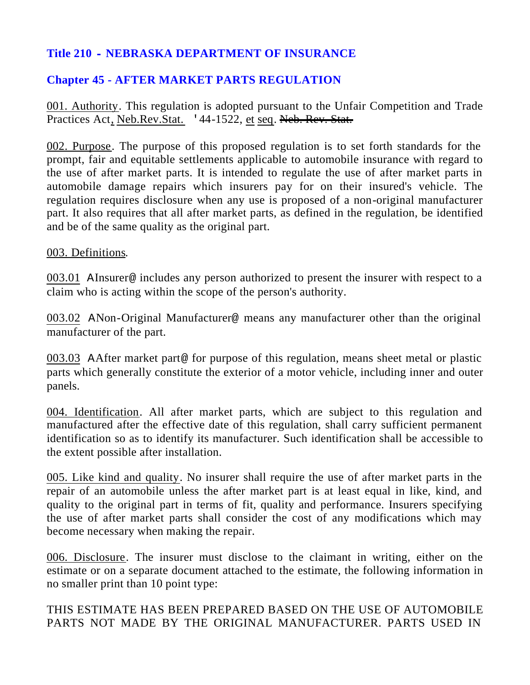## **Title 210 - NEBRASKA DEPARTMENT OF INSURANCE**

## **Chapter 45 - AFTER MARKET PARTS REGULATION**

001. Authority. This regulation is adopted pursuant to the Unfair Competition and Trade Practices Act, Neb.Rev.Stat. '44-1522, et seq. Neb. Rev. Stat.

002. Purpose. The purpose of this proposed regulation is to set forth standards for the prompt, fair and equitable settlements applicable to automobile insurance with regard to the use of after market parts. It is intended to regulate the use of after market parts in automobile damage repairs which insurers pay for on their insured's vehicle. The regulation requires disclosure when any use is proposed of a non-original manufacturer part. It also requires that all after market parts, as defined in the regulation, be identified and be of the same quality as the original part.

## 003. Definitions.

003.01 AInsurer@ includes any person authorized to present the insurer with respect to a claim who is acting within the scope of the person's authority.

003.02 ANon-Original Manufacturer@ means any manufacturer other than the original manufacturer of the part.

003.03 AAfter market part@ for purpose of this regulation, means sheet metal or plastic parts which generally constitute the exterior of a motor vehicle, including inner and outer panels.

004. Identification. All after market parts, which are subject to this regulation and manufactured after the effective date of this regulation, shall carry sufficient permanent identification so as to identify its manufacturer. Such identification shall be accessible to the extent possible after installation.

005. Like kind and quality. No insurer shall require the use of after market parts in the repair of an automobile unless the after market part is at least equal in like, kind, and quality to the original part in terms of fit, quality and performance. Insurers specifying the use of after market parts shall consider the cost of any modifications which may become necessary when making the repair.

006. Disclosure. The insurer must disclose to the claimant in writing, either on the estimate or on a separate document attached to the estimate, the following information in no smaller print than 10 point type:

THIS ESTIMATE HAS BEEN PREPARED BASED ON THE USE OF AUTOMOBILE PARTS NOT MADE BY THE ORIGINAL MANUFACTURER. PARTS USED IN